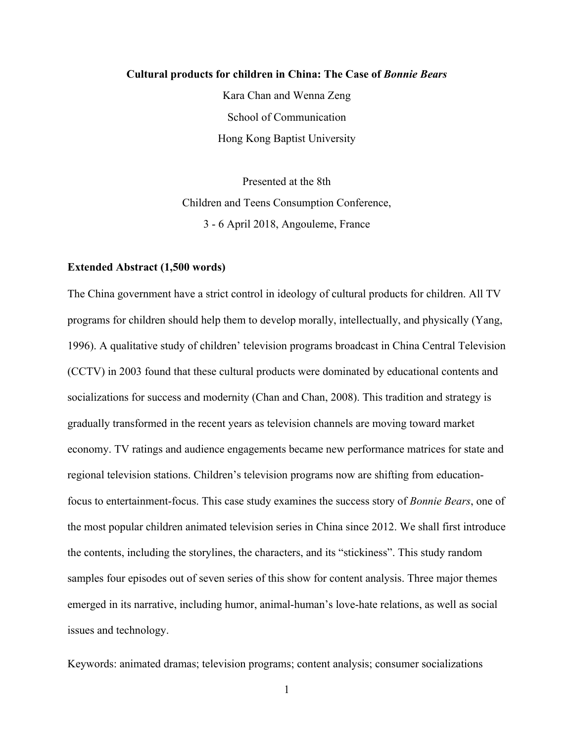### **Cultural products for children in China: The Case of** *Bonnie Bears*

Kara Chan and Wenna Zeng School of Communication Hong Kong Baptist University

Presented at the 8th Children and Teens Consumption Conference, 3 - 6 April 2018, Angouleme, France

#### **Extended Abstract (1,500 words)**

The China government have a strict control in ideology of cultural products for children. All TV programs for children should help them to develop morally, intellectually, and physically (Yang, 1996). A qualitative study of children' television programs broadcast in China Central Television (CCTV) in 2003 found that these cultural products were dominated by educational contents and socializations for success and modernity (Chan and Chan, 2008). This tradition and strategy is gradually transformed in the recent years as television channels are moving toward market economy. TV ratings and audience engagements became new performance matrices for state and regional television stations. Children's television programs now are shifting from educationfocus to entertainment-focus. This case study examines the success story of *Bonnie Bears*, one of the most popular children animated television series in China since 2012. We shall first introduce the contents, including the storylines, the characters, and its "stickiness". This study random samples four episodes out of seven series of this show for content analysis. Three major themes emerged in its narrative, including humor, animal-human's love-hate relations, as well as social issues and technology.

Keywords: animated dramas; television programs; content analysis; consumer socializations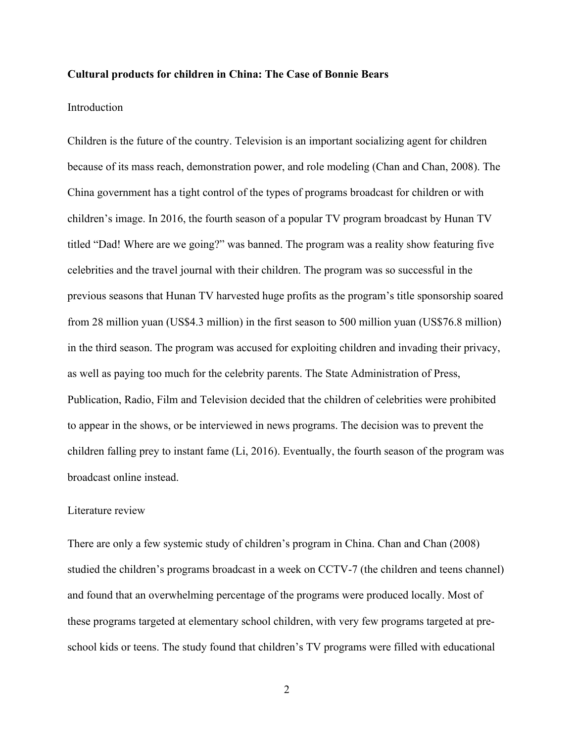### **Cultural products for children in China: The Case of Bonnie Bears**

#### Introduction

Children is the future of the country. Television is an important socializing agent for children because of its mass reach, demonstration power, and role modeling (Chan and Chan, 2008). The China government has a tight control of the types of programs broadcast for children or with children's image. In 2016, the fourth season of a popular TV program broadcast by Hunan TV titled "Dad! Where are we going?" was banned. The program was a reality show featuring five celebrities and the travel journal with their children. The program was so successful in the previous seasons that Hunan TV harvested huge profits as the program's title sponsorship soared from 28 million yuan (US\$4.3 million) in the first season to 500 million yuan (US\$76.8 million) in the third season. The program was accused for exploiting children and invading their privacy, as well as paying too much for the celebrity parents. The State Administration of Press, Publication, Radio, Film and Television decided that the children of celebrities were prohibited to appear in the shows, or be interviewed in news programs. The decision was to prevent the children falling prey to instant fame (Li, 2016). Eventually, the fourth season of the program was broadcast online instead.

## Literature review

There are only a few systemic study of children's program in China. Chan and Chan (2008) studied the children's programs broadcast in a week on CCTV-7 (the children and teens channel) and found that an overwhelming percentage of the programs were produced locally. Most of these programs targeted at elementary school children, with very few programs targeted at preschool kids or teens. The study found that children's TV programs were filled with educational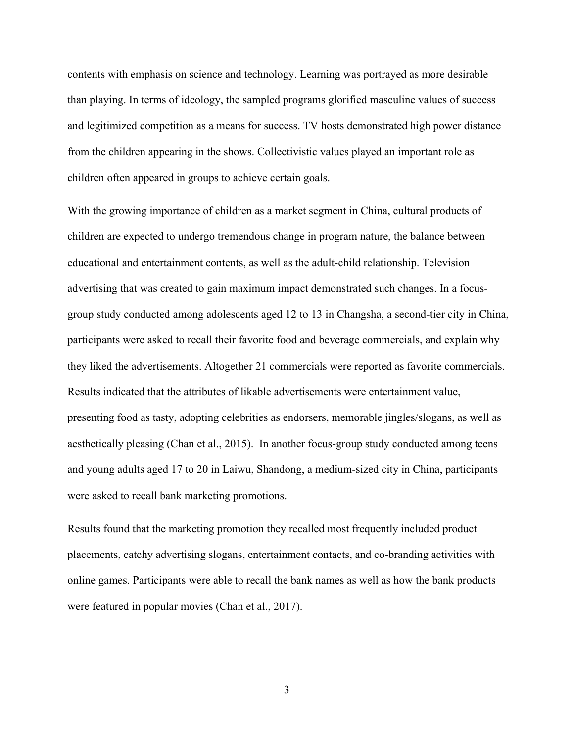contents with emphasis on science and technology. Learning was portrayed as more desirable than playing. In terms of ideology, the sampled programs glorified masculine values of success and legitimized competition as a means for success. TV hosts demonstrated high power distance from the children appearing in the shows. Collectivistic values played an important role as children often appeared in groups to achieve certain goals.

With the growing importance of children as a market segment in China, cultural products of children are expected to undergo tremendous change in program nature, the balance between educational and entertainment contents, as well as the adult-child relationship. Television advertising that was created to gain maximum impact demonstrated such changes. In a focusgroup study conducted among adolescents aged 12 to 13 in Changsha, a second-tier city in China, participants were asked to recall their favorite food and beverage commercials, and explain why they liked the advertisements. Altogether 21 commercials were reported as favorite commercials. Results indicated that the attributes of likable advertisements were entertainment value, presenting food as tasty, adopting celebrities as endorsers, memorable jingles/slogans, as well as aesthetically pleasing (Chan et al., 2015). In another focus-group study conducted among teens and young adults aged 17 to 20 in Laiwu, Shandong, a medium-sized city in China, participants were asked to recall bank marketing promotions.

Results found that the marketing promotion they recalled most frequently included product placements, catchy advertising slogans, entertainment contacts, and co-branding activities with online games. Participants were able to recall the bank names as well as how the bank products were featured in popular movies (Chan et al., 2017).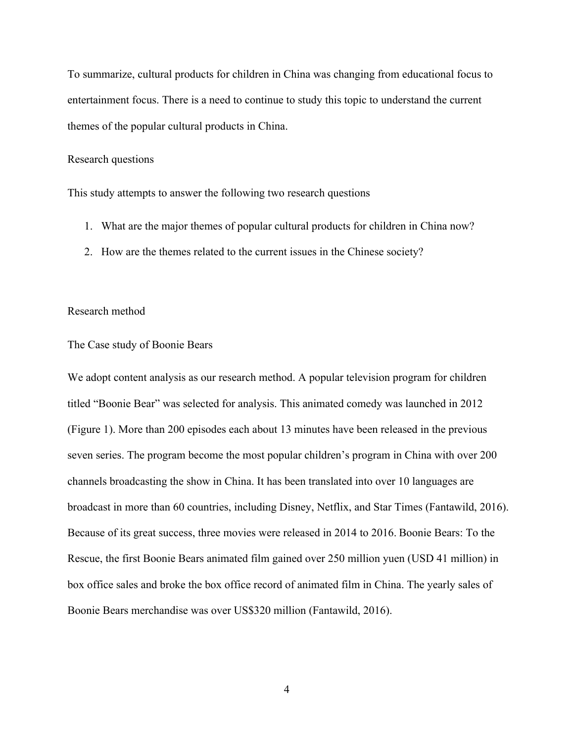To summarize, cultural products for children in China was changing from educational focus to entertainment focus. There is a need to continue to study this topic to understand the current themes of the popular cultural products in China.

### Research questions

This study attempts to answer the following two research questions

- 1. What are the major themes of popular cultural products for children in China now?
- 2. How are the themes related to the current issues in the Chinese society?

### Research method

## The Case study of Boonie Bears

We adopt content analysis as our research method. A popular television program for children titled "Boonie Bear" was selected for analysis. This animated comedy was launched in 2012 (Figure 1). More than 200 episodes each about 13 minutes have been released in the previous seven series. The program become the most popular children's program in China with over 200 channels broadcasting the show in China. It has been translated into over 10 languages are broadcast in more than 60 countries, including Disney, Netflix, and Star Times (Fantawild, 2016). Because of its great success, three movies were released in 2014 to 2016. Boonie Bears: To the Rescue, the first Boonie Bears animated film gained over 250 million yuen (USD 41 million) in box office sales and broke the box office record of animated film in China. The yearly sales of Boonie Bears merchandise was over US\$320 million (Fantawild, 2016).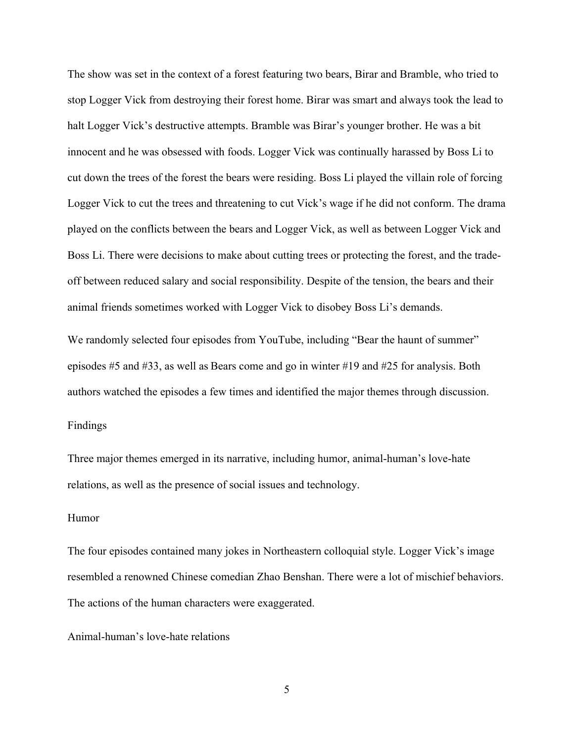The show was set in the context of a forest featuring two bears, Birar and Bramble, who tried to stop Logger Vick from destroying their forest home. Birar was smart and always took the lead to halt Logger Vick's destructive attempts. Bramble was Birar's younger brother. He was a bit innocent and he was obsessed with foods. Logger Vick was continually harassed by Boss Li to cut down the trees of the forest the bears were residing. Boss Li played the villain role of forcing Logger Vick to cut the trees and threatening to cut Vick's wage if he did not conform. The drama played on the conflicts between the bears and Logger Vick, as well as between Logger Vick and Boss Li. There were decisions to make about cutting trees or protecting the forest, and the tradeoff between reduced salary and social responsibility. Despite of the tension, the bears and their animal friends sometimes worked with Logger Vick to disobey Boss Li's demands.

We randomly selected four episodes from YouTube, including "Bear the haunt of summer" episodes #5 and #33, as well as Bears come and go in winter #19 and #25 for analysis. Both authors watched the episodes a few times and identified the major themes through discussion.

## Findings

Three major themes emerged in its narrative, including humor, animal-human's love-hate relations, as well as the presence of social issues and technology.

### Humor

The four episodes contained many jokes in Northeastern colloquial style. Logger Vick's image resembled a renowned Chinese comedian Zhao Benshan. There were a lot of mischief behaviors. The actions of the human characters were exaggerated.

Animal-human's love-hate relations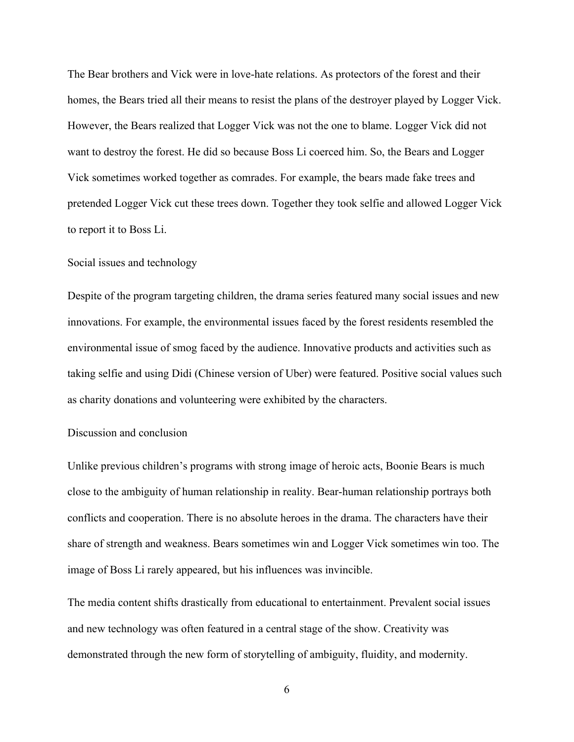The Bear brothers and Vick were in love-hate relations. As protectors of the forest and their homes, the Bears tried all their means to resist the plans of the destroyer played by Logger Vick. However, the Bears realized that Logger Vick was not the one to blame. Logger Vick did not want to destroy the forest. He did so because Boss Li coerced him. So, the Bears and Logger Vick sometimes worked together as comrades. For example, the bears made fake trees and pretended Logger Vick cut these trees down. Together they took selfie and allowed Logger Vick to report it to Boss Li.

### Social issues and technology

Despite of the program targeting children, the drama series featured many social issues and new innovations. For example, the environmental issues faced by the forest residents resembled the environmental issue of smog faced by the audience. Innovative products and activities such as taking selfie and using Didi (Chinese version of Uber) were featured. Positive social values such as charity donations and volunteering were exhibited by the characters.

## Discussion and conclusion

Unlike previous children's programs with strong image of heroic acts, Boonie Bears is much close to the ambiguity of human relationship in reality. Bear-human relationship portrays both conflicts and cooperation. There is no absolute heroes in the drama. The characters have their share of strength and weakness. Bears sometimes win and Logger Vick sometimes win too. The image of Boss Li rarely appeared, but his influences was invincible.

The media content shifts drastically from educational to entertainment. Prevalent social issues and new technology was often featured in a central stage of the show. Creativity was demonstrated through the new form of storytelling of ambiguity, fluidity, and modernity.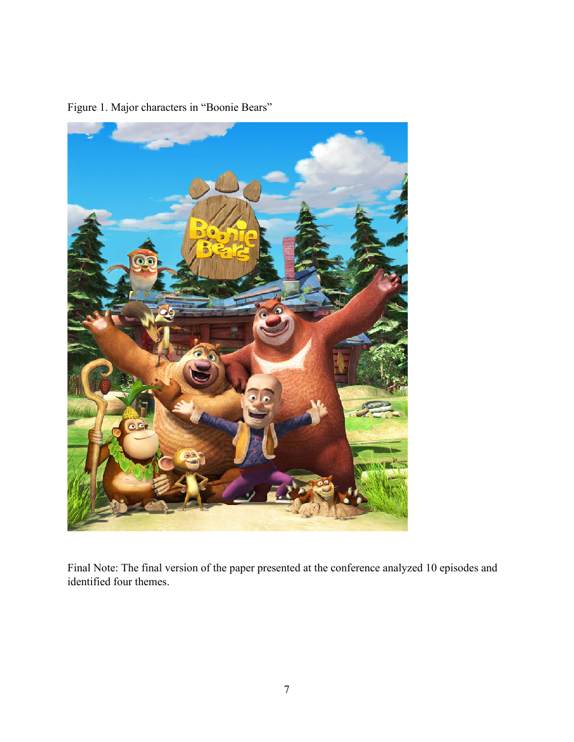

Figure 1. Major characters in "Boonie Bears"

Final Note: The final version of the paper presented at the conference analyzed 10 episodes and identified four themes.